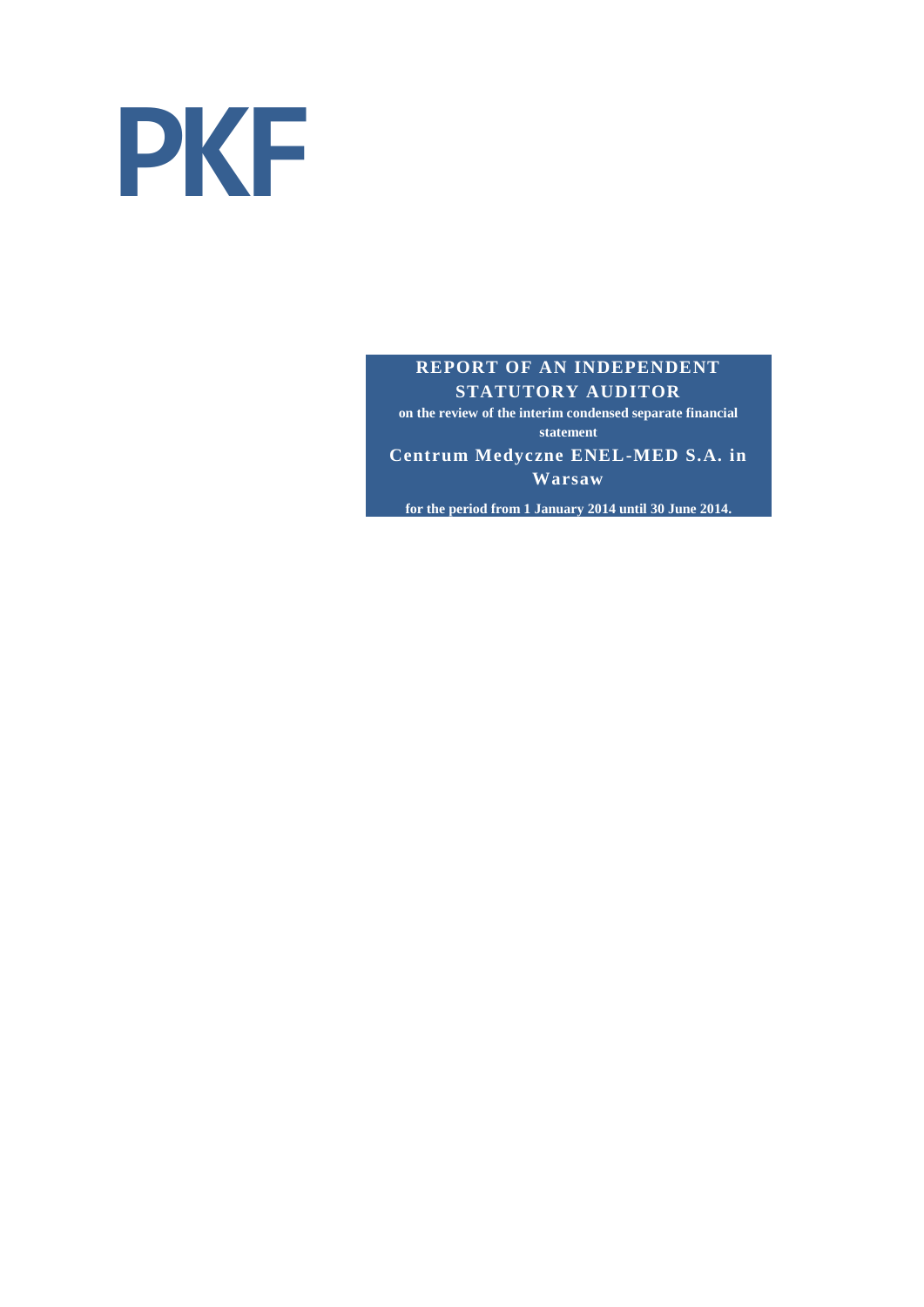

## **REPORT OF AN INDEPENDENT STATUTORY AUDITOR**

**on the review of the interim condensed separate financial statement**

**Centrum Medyczne ENEL-MED S.A. in Warsaw**

**for the period from 1 January 2014 until 30 June 2014.**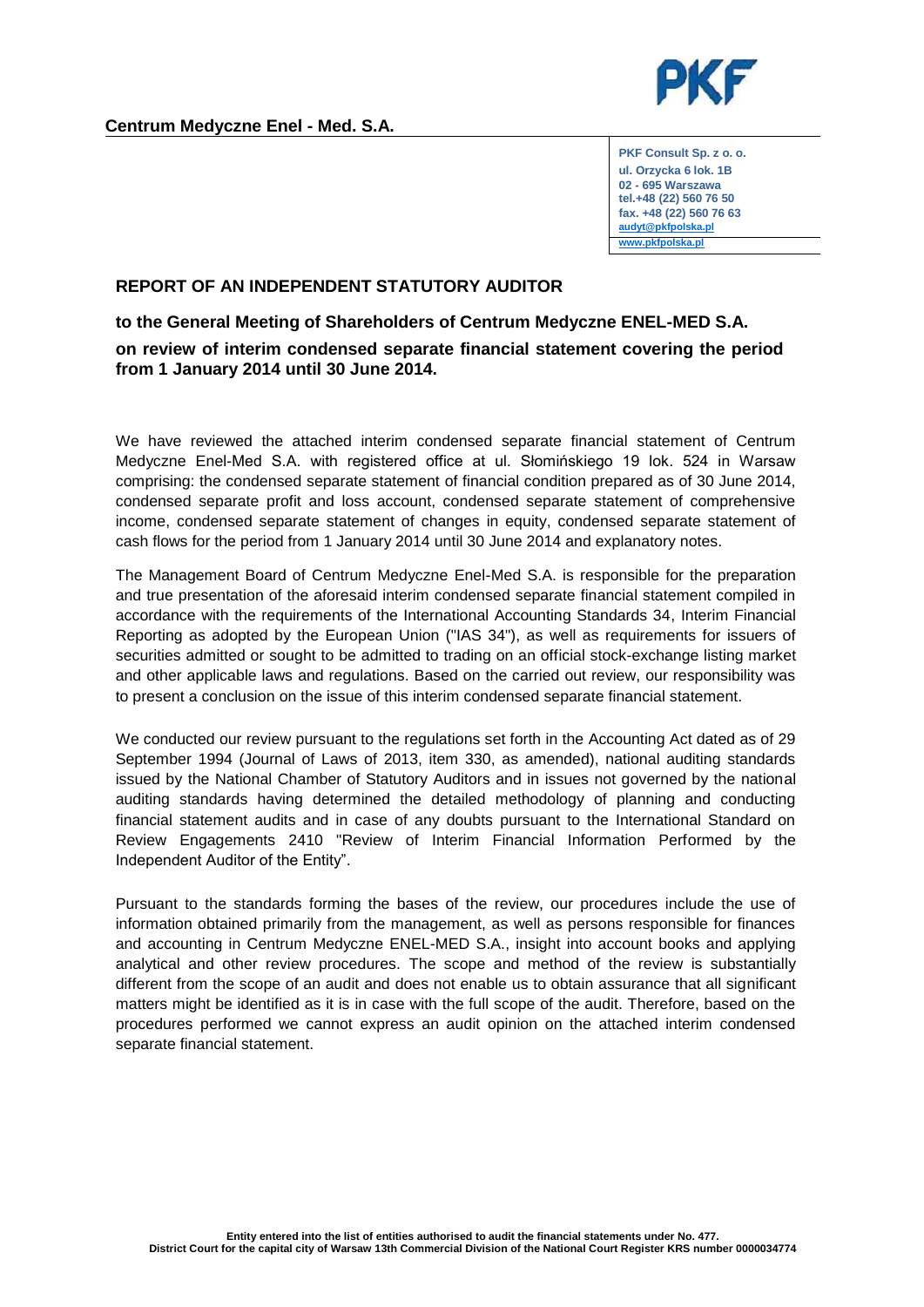

**PKF Consult Sp. z o. o. ul. Orzycka 6 lok. 1B 02 - 695 Warszawa tel.+48 (22) 560 76 50 fax. +48 (22) 560 76 63 [audyt@pkfpolska.pl](mailto:audyt@pkfpolska.pl) [www.pkfpolska.pl](http://www.pkfpolska.pl/)**

## **REPORT OF AN INDEPENDENT STATUTORY AUDITOR**

## **to the General Meeting of Shareholders of Centrum Medyczne ENEL-MED S.A. on review of interim condensed separate financial statement covering the period from 1 January 2014 until 30 June 2014.**

We have reviewed the attached interim condensed separate financial statement of Centrum Medyczne Enel-Med S.A. with registered office at ul. Słomińskiego 19 lok. 524 in Warsaw comprising: the condensed separate statement of financial condition prepared as of 30 June 2014, condensed separate profit and loss account, condensed separate statement of comprehensive income, condensed separate statement of changes in equity, condensed separate statement of cash flows for the period from 1 January 2014 until 30 June 2014 and explanatory notes.

The Management Board of Centrum Medyczne Enel-Med S.A. is responsible for the preparation and true presentation of the aforesaid interim condensed separate financial statement compiled in accordance with the requirements of the International Accounting Standards 34, Interim Financial Reporting as adopted by the European Union ("IAS 34"), as well as requirements for issuers of securities admitted or sought to be admitted to trading on an official stock-exchange listing market and other applicable laws and regulations. Based on the carried out review, our responsibility was to present a conclusion on the issue of this interim condensed separate financial statement.

We conducted our review pursuant to the regulations set forth in the Accounting Act dated as of 29 September 1994 (Journal of Laws of 2013, item 330, as amended), national auditing standards issued by the National Chamber of Statutory Auditors and in issues not governed by the national auditing standards having determined the detailed methodology of planning and conducting financial statement audits and in case of any doubts pursuant to the International Standard on Review Engagements 2410 "Review of Interim Financial Information Performed by the Independent Auditor of the Entity".

Pursuant to the standards forming the bases of the review, our procedures include the use of information obtained primarily from the management, as well as persons responsible for finances and accounting in Centrum Medyczne ENEL-MED S.A., insight into account books and applying analytical and other review procedures. The scope and method of the review is substantially different from the scope of an audit and does not enable us to obtain assurance that all significant matters might be identified as it is in case with the full scope of the audit. Therefore, based on the procedures performed we cannot express an audit opinion on the attached interim condensed separate financial statement.